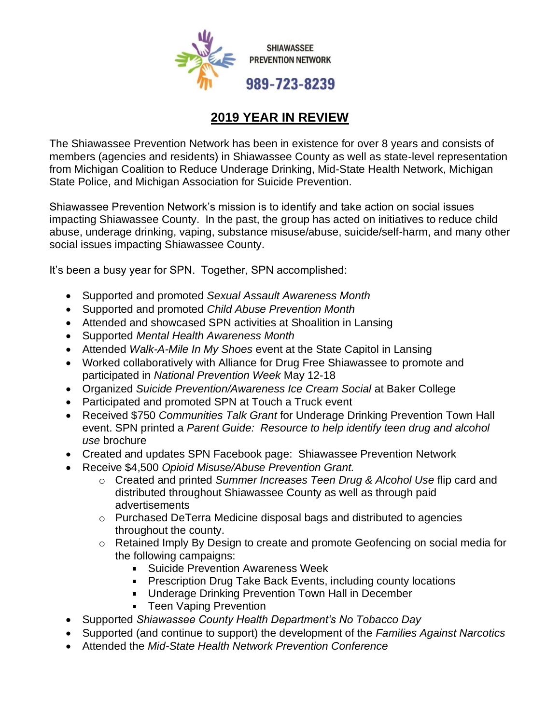

## **2019 YEAR IN REVIEW**

The Shiawassee Prevention Network has been in existence for over 8 years and consists of members (agencies and residents) in Shiawassee County as well as state-level representation from Michigan Coalition to Reduce Underage Drinking, Mid-State Health Network, Michigan State Police, and Michigan Association for Suicide Prevention.

Shiawassee Prevention Network's mission is to identify and take action on social issues impacting Shiawassee County. In the past, the group has acted on initiatives to reduce child abuse, underage drinking, vaping, substance misuse/abuse, suicide/self-harm, and many other social issues impacting Shiawassee County.

It's been a busy year for SPN. Together, SPN accomplished:

- Supported and promoted *Sexual Assault Awareness Month*
- Supported and promoted *Child Abuse Prevention Month*
- Attended and showcased SPN activities at Shoalition in Lansing
- Supported *Mental Health Awareness Month*
- Attended *Walk-A-Mile In My Shoes* event at the State Capitol in Lansing
- Worked collaboratively with Alliance for Drug Free Shiawassee to promote and participated in *National Prevention Week* May 12-18
- Organized *Suicide Prevention/Awareness Ice Cream Social* at Baker College
- Participated and promoted SPN at Touch a Truck event
- Received \$750 *Communities Talk Grant* for Underage Drinking Prevention Town Hall event. SPN printed a *Parent Guide: Resource to help identify teen drug and alcohol use* brochure
- Created and updates SPN Facebook page: Shiawassee Prevention Network
- Receive \$4,500 *Opioid Misuse/Abuse Prevention Grant.* 
	- o Created and printed *Summer Increases Teen Drug & Alcohol Use* flip card and distributed throughout Shiawassee County as well as through paid advertisements
	- o Purchased DeTerra Medicine disposal bags and distributed to agencies throughout the county.
	- o Retained Imply By Design to create and promote Geofencing on social media for the following campaigns:
		- **Suicide Prevention Awareness Week**
		- **Prescription Drug Take Back Events, including county locations**
		- **Underage Drinking Prevention Town Hall in December**
		- **Teen Vaping Prevention**
- Supported *Shiawassee County Health Department's No Tobacco Day*
- Supported (and continue to support) the development of the *Families Against Narcotics*
- Attended the *Mid-State Health Network Prevention Conference*